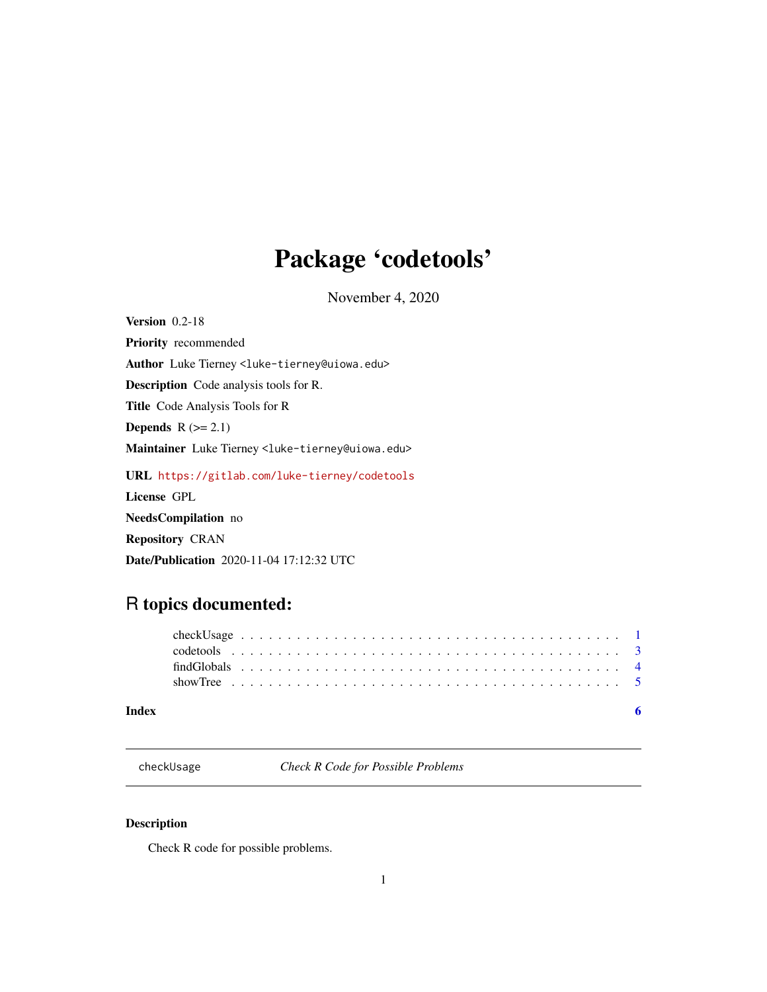## <span id="page-0-0"></span>Package 'codetools'

November 4, 2020

Version 0.2-18 Priority recommended Author Luke Tierney <luke-tierney@uiowa.edu> Description Code analysis tools for R. Title Code Analysis Tools for R Depends  $R$  ( $>= 2.1$ ) Maintainer Luke Tierney <luke-tierney@uiowa.edu> URL <https://gitlab.com/luke-tierney/codetools> License GPL NeedsCompilation no Repository CRAN Date/Publication 2020-11-04 17:12:32 UTC

## R topics documented:

checkUsage *Check R Code for Possible Problems*

## Description

Check R code for possible problems.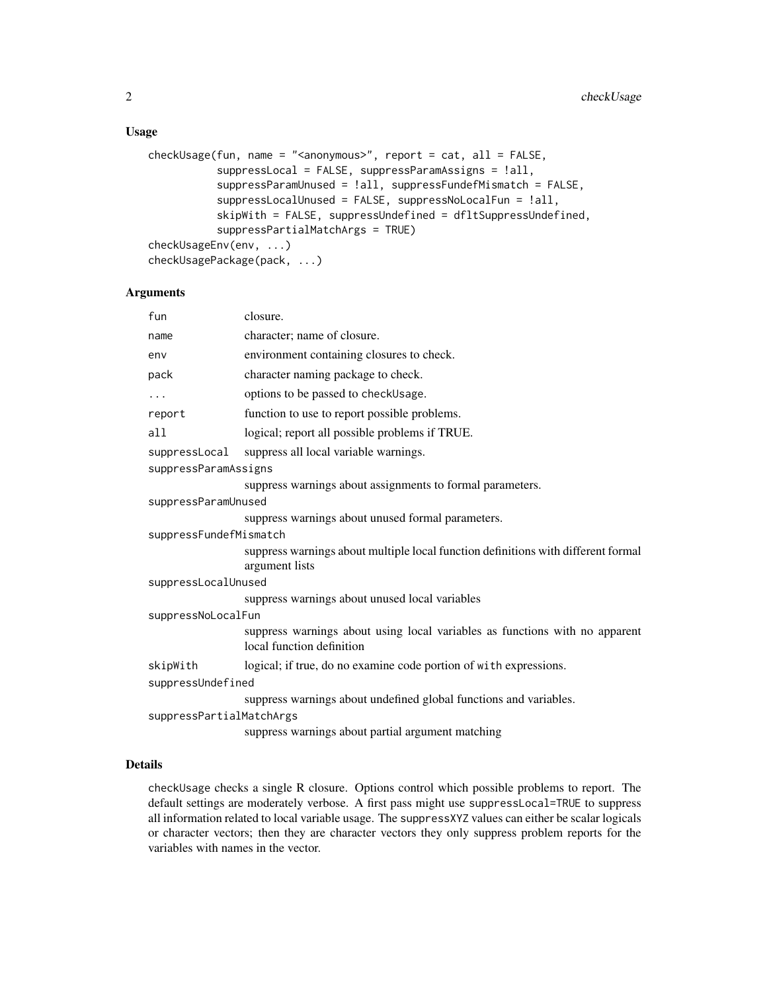## Usage

```
checkUsage(fun, name = "<anonymous">", report = cat, all = FALSE,suppressLocal = FALSE, suppressParamAssigns = !all,
           suppressParamUnused = !all, suppressFundefMismatch = FALSE,
           suppressLocalUnused = FALSE, suppressNoLocalFun = !all,
           skipWith = FALSE, suppressUndefined = dfltSuppressUndefined,
           suppressPartialMatchArgs = TRUE)
checkUsageEnv(env, ...)
checkUsagePackage(pack, ...)
```
## Arguments

| fun                      | closure.                                                                                                 |  |  |  |
|--------------------------|----------------------------------------------------------------------------------------------------------|--|--|--|
| name                     | character; name of closure.                                                                              |  |  |  |
| env                      | environment containing closures to check.                                                                |  |  |  |
| pack                     | character naming package to check.                                                                       |  |  |  |
| .                        | options to be passed to checkUsage.                                                                      |  |  |  |
| report                   | function to use to report possible problems.                                                             |  |  |  |
| a11                      | logical; report all possible problems if TRUE.                                                           |  |  |  |
| suppressLocal            | suppress all local variable warnings.                                                                    |  |  |  |
| suppressParamAssigns     |                                                                                                          |  |  |  |
|                          | suppress warnings about assignments to formal parameters.                                                |  |  |  |
| suppressParamUnused      |                                                                                                          |  |  |  |
|                          | suppress warnings about unused formal parameters.                                                        |  |  |  |
| suppressFundefMismatch   |                                                                                                          |  |  |  |
|                          | suppress warnings about multiple local function definitions with different formal<br>argument lists      |  |  |  |
| suppressLocalUnused      |                                                                                                          |  |  |  |
|                          | suppress warnings about unused local variables                                                           |  |  |  |
| suppressNoLocalFun       |                                                                                                          |  |  |  |
|                          | suppress warnings about using local variables as functions with no apparent<br>local function definition |  |  |  |
| skipWith                 | logical; if true, do no examine code portion of with expressions.                                        |  |  |  |
| suppressUndefined        |                                                                                                          |  |  |  |
|                          | suppress warnings about undefined global functions and variables.                                        |  |  |  |
| suppressPartialMatchArgs |                                                                                                          |  |  |  |
|                          | suppress warnings about partial argument matching                                                        |  |  |  |

## Details

checkUsage checks a single R closure. Options control which possible problems to report. The default settings are moderately verbose. A first pass might use suppressLocal=TRUE to suppress all information related to local variable usage. The suppressXYZ values can either be scalar logicals or character vectors; then they are character vectors they only suppress problem reports for the variables with names in the vector.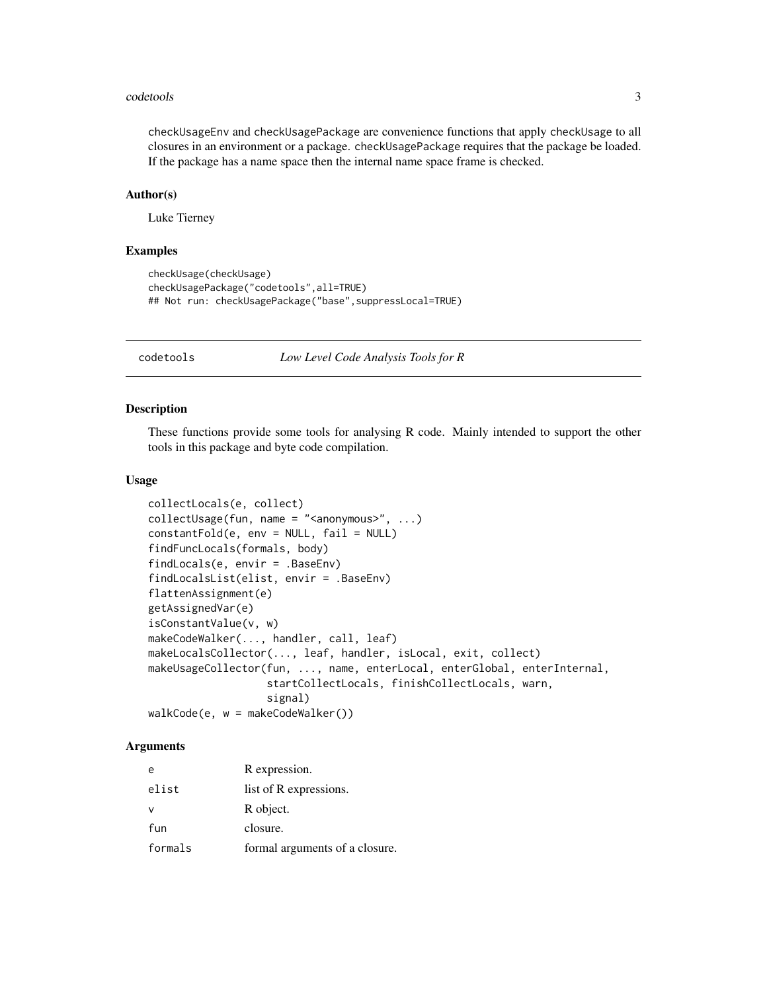#### <span id="page-2-0"></span>codetools 3

checkUsageEnv and checkUsagePackage are convenience functions that apply checkUsage to all closures in an environment or a package. checkUsagePackage requires that the package be loaded. If the package has a name space then the internal name space frame is checked.

## Author(s)

Luke Tierney

## Examples

```
checkUsage(checkUsage)
checkUsagePackage("codetools",all=TRUE)
## Not run: checkUsagePackage("base", suppressLocal=TRUE)
```
codetools *Low Level Code Analysis Tools for R*

#### Description

These functions provide some tools for analysing R code. Mainly intended to support the other tools in this package and byte code compilation.

## Usage

```
collectLocals(e, collect)
collectUsage(fun, name = "<anonymous">", ...)constantFold(e, env = NULL, fail = NULL)
findFuncLocals(formals, body)
findLocals(e, envir = .BaseEnv)
findLocalsList(elist, envir = .BaseEnv)
flattenAssignment(e)
getAssignedVar(e)
isConstantValue(v, w)
makeCodeWalker(..., handler, call, leaf)
makeLocalsCollector(..., leaf, handler, isLocal, exit, collect)
makeUsageCollector(fun, ..., name, enterLocal, enterGlobal, enterInternal,
                   startCollectLocals, finishCollectLocals, warn,
                   signal)
walkCode(e, w = makeCodeWalker())
```
#### Arguments

| e       | R expression.                  |
|---------|--------------------------------|
| elist   | list of R expressions.         |
|         | R object.                      |
| fun     | closure.                       |
| formals | formal arguments of a closure. |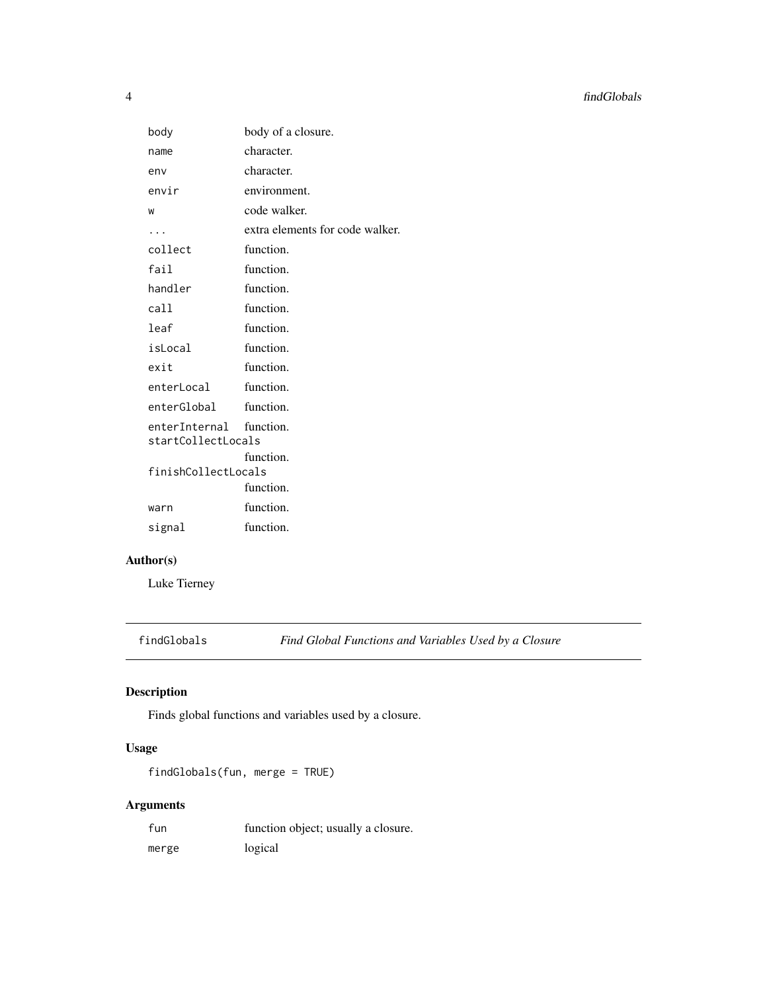<span id="page-3-0"></span>

| body                                          | body of a closure.              |
|-----------------------------------------------|---------------------------------|
| name                                          | character.                      |
| env                                           | character.                      |
| envir                                         | environment.                    |
| W                                             | code walker.                    |
| .                                             | extra elements for code walker. |
| collect                                       | function.                       |
| fail                                          | function.                       |
| handler                                       | function.                       |
| call                                          | function.                       |
| leaf                                          | function.                       |
| isLocal                                       | function.                       |
| exit                                          | function.                       |
| enterLocal                                    | function.                       |
| enterGlobal                                   | function.                       |
| enterInternal function.<br>startCollectLocals |                                 |
|                                               | function.                       |
| finishCollectLocals                           |                                 |
|                                               | function.                       |
| warn                                          | function.                       |
| signal                                        | function.                       |

## Author(s)

Luke Tierney

findGlobals *Find Global Functions and Variables Used by a Closure*

## Description

Finds global functions and variables used by a closure.

## Usage

findGlobals(fun, merge = TRUE)

## Arguments

| fun   | function object; usually a closure. |
|-------|-------------------------------------|
| merge | logical                             |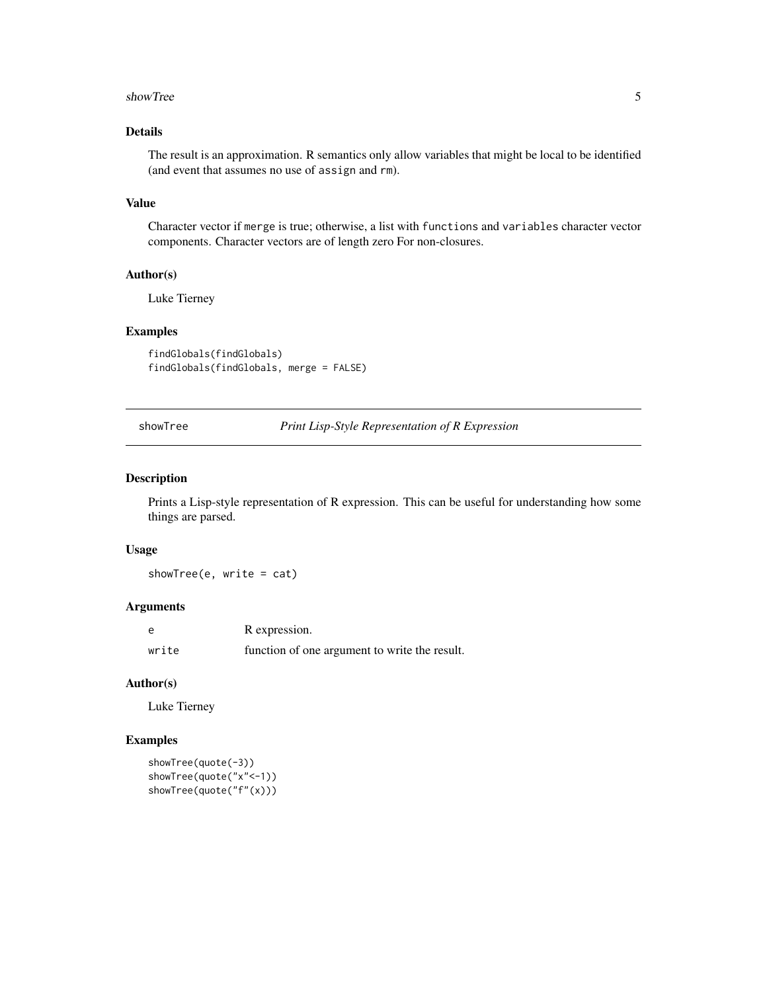#### <span id="page-4-0"></span>showTree 5

## Details

The result is an approximation. R semantics only allow variables that might be local to be identified (and event that assumes no use of assign and rm).

## Value

Character vector if merge is true; otherwise, a list with functions and variables character vector components. Character vectors are of length zero For non-closures.

## Author(s)

Luke Tierney

## Examples

findGlobals(findGlobals) findGlobals(findGlobals, merge = FALSE)

showTree *Print Lisp-Style Representation of R Expression*

## Description

Prints a Lisp-style representation of R expression. This can be useful for understanding how some things are parsed.

## Usage

showTree(e, write = cat)

## Arguments

| e     | R expression.                                 |
|-------|-----------------------------------------------|
| write | function of one argument to write the result. |

#### Author(s)

Luke Tierney

## Examples

```
showTree(quote(-3))
showTree(quote("x"<-1))
showTree(quote("f"(x)))
```